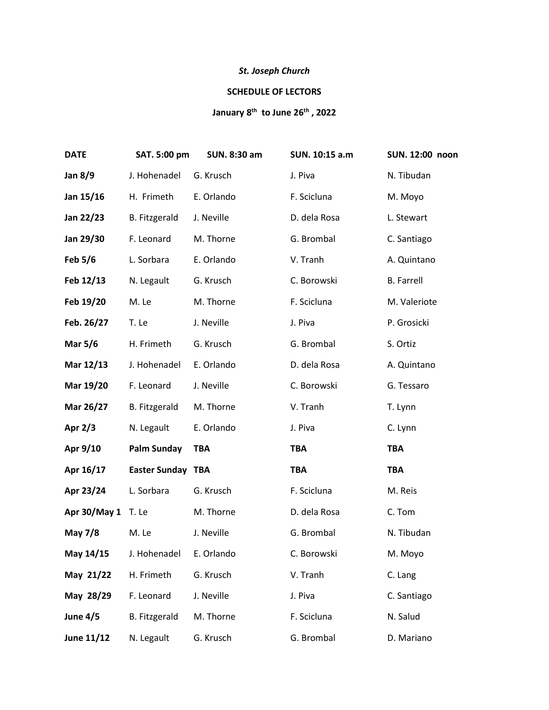## *St. Joseph Church*

## **SCHEDULE OF LECTORS**

## **January 8 th to June 26th , 2022**

| <b>DATE</b>        | SAT. 5:00 pm             | SUN. 8:30 am | SUN. 10:15 a.m | SUN. 12:00 noon   |
|--------------------|--------------------------|--------------|----------------|-------------------|
| <b>Jan 8/9</b>     | J. Hohenadel             | G. Krusch    | J. Piva        | N. Tibudan        |
| Jan 15/16          | H. Frimeth               | E. Orlando   | F. Scicluna    | M. Moyo           |
| Jan 22/23          | B. Fitzgerald            | J. Neville   | D. dela Rosa   | L. Stewart        |
| Jan 29/30          | F. Leonard               | M. Thorne    | G. Brombal     | C. Santiago       |
| Feb $5/6$          | L. Sorbara               | E. Orlando   | V. Tranh       | A. Quintano       |
| Feb 12/13          | N. Legault               | G. Krusch    | C. Borowski    | <b>B.</b> Farrell |
| Feb 19/20          | M. Le                    | M. Thorne    | F. Scicluna    | M. Valeriote      |
| Feb. 26/27         | T. Le                    | J. Neville   | J. Piva        | P. Grosicki       |
| <b>Mar 5/6</b>     | H. Frimeth               | G. Krusch    | G. Brombal     | S. Ortiz          |
| Mar 12/13          | J. Hohenadel             | E. Orlando   | D. dela Rosa   | A. Quintano       |
| Mar 19/20          | F. Leonard               | J. Neville   | C. Borowski    | G. Tessaro        |
| Mar 26/27          | <b>B.</b> Fitzgerald     | M. Thorne    | V. Tranh       | T. Lynn           |
| Apr $2/3$          | N. Legault               | E. Orlando   | J. Piva        | C. Lynn           |
| Apr 9/10           | <b>Palm Sunday</b>       | <b>TBA</b>   | <b>TBA</b>     | <b>TBA</b>        |
| Apr 16/17          | <b>Easter Sunday TBA</b> |              | <b>TBA</b>     | <b>TBA</b>        |
| Apr 23/24          | L. Sorbara               | G. Krusch    | F. Scicluna    | M. Reis           |
| Apr 30/May 1 T. Le |                          | M. Thorne    | D. dela Rosa   | C. Tom            |
| May 7/8            | M. Le                    | J. Neville   | G. Brombal     | N. Tibudan        |
| May 14/15          | J. Hohenadel E. Orlando  |              | C. Borowski    | M. Moyo           |
| May 21/22          | H. Frimeth               | G. Krusch    | V. Tranh       | C. Lang           |
| May 28/29          | F. Leonard               | J. Neville   | J. Piva        | C. Santiago       |
| <b>June 4/5</b>    | <b>B.</b> Fitzgerald     | M. Thorne    | F. Scicluna    | N. Salud          |
| June 11/12         | N. Legault               | G. Krusch    | G. Brombal     | D. Mariano        |
|                    |                          |              |                |                   |